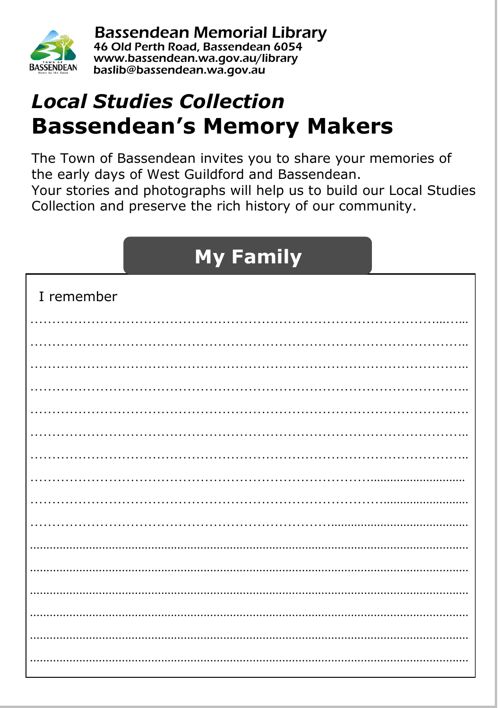

**Bassendean Memorial Library** 46 Old Perth Road, Bassendean 6054 www.bassendean.wa.gov.au/library baslib@bassendean.wa.gov.au

### **Local Studies Collection Bassendean's Memory Makers**

The Town of Bassendean invites you to share your memories of the early days of West Guildford and Bassendean. Your stories and photographs will help us to build our Local Studies Collection and preserve the rich history of our community.

## **My Family**

| I remember |
|------------|
|            |
|            |
|            |
|            |
|            |
|            |
|            |
|            |
|            |
|            |
|            |
|            |
|            |
|            |
|            |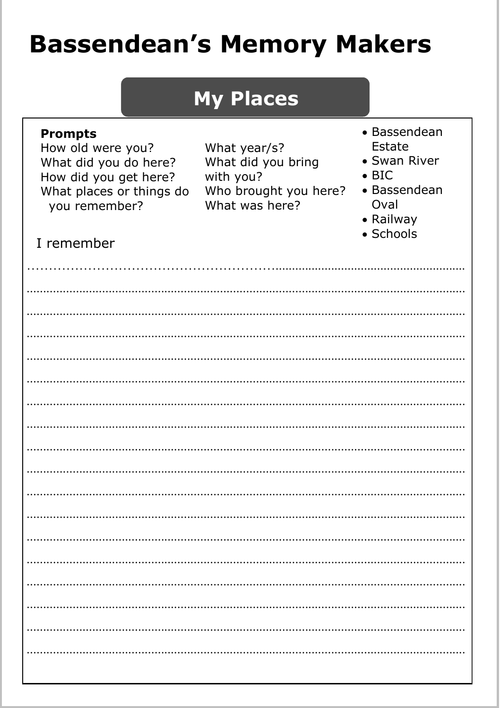# **Bassendean's Memory Makers**

|                                                                                                                                                  | <b>My Places</b>                                                                           |                                                                                                           |
|--------------------------------------------------------------------------------------------------------------------------------------------------|--------------------------------------------------------------------------------------------|-----------------------------------------------------------------------------------------------------------|
| <b>Prompts</b><br>How old were you?<br>What did you do here?<br>How did you get here?<br>What places or things do<br>you remember?<br>I remember | What year/s?<br>What did you bring<br>with you?<br>Who brought you here?<br>What was here? | • Bassendean<br>Estate<br>• Swan River<br>$\bullet$ BIC<br>• Bassendean<br>Oval<br>• Railway<br>• Schools |
|                                                                                                                                                  |                                                                                            |                                                                                                           |
|                                                                                                                                                  |                                                                                            |                                                                                                           |
|                                                                                                                                                  |                                                                                            |                                                                                                           |
|                                                                                                                                                  |                                                                                            |                                                                                                           |
|                                                                                                                                                  |                                                                                            |                                                                                                           |
|                                                                                                                                                  |                                                                                            |                                                                                                           |
|                                                                                                                                                  |                                                                                            |                                                                                                           |
|                                                                                                                                                  |                                                                                            |                                                                                                           |
|                                                                                                                                                  |                                                                                            |                                                                                                           |
|                                                                                                                                                  |                                                                                            |                                                                                                           |
|                                                                                                                                                  |                                                                                            |                                                                                                           |
|                                                                                                                                                  |                                                                                            |                                                                                                           |
|                                                                                                                                                  |                                                                                            |                                                                                                           |
|                                                                                                                                                  |                                                                                            |                                                                                                           |
|                                                                                                                                                  |                                                                                            |                                                                                                           |
|                                                                                                                                                  |                                                                                            |                                                                                                           |
|                                                                                                                                                  |                                                                                            |                                                                                                           |
|                                                                                                                                                  |                                                                                            |                                                                                                           |
|                                                                                                                                                  |                                                                                            |                                                                                                           |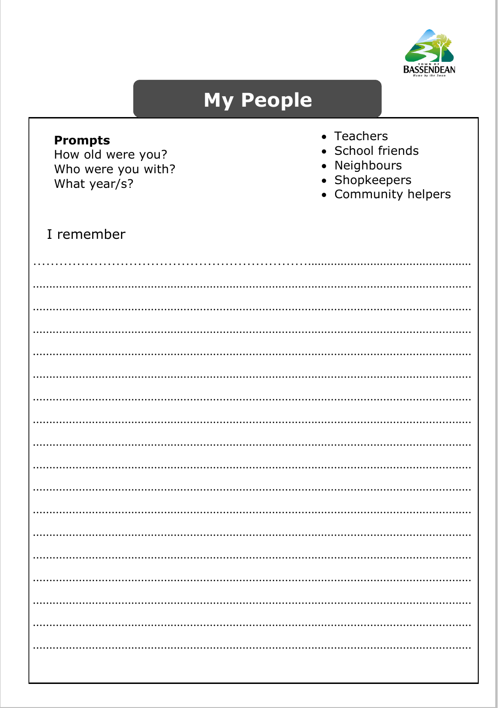

 $\ddotsc$ 

### **My People**

| <b>Prompts</b><br>How old were you?<br>Who were you with?<br>What year/s? |  | • Teachers<br>• School friends<br>• Neighbours<br>• Shopkeepers<br>• Community helpers |  |
|---------------------------------------------------------------------------|--|----------------------------------------------------------------------------------------|--|
| I remember                                                                |  |                                                                                        |  |
|                                                                           |  |                                                                                        |  |
|                                                                           |  |                                                                                        |  |
|                                                                           |  |                                                                                        |  |
|                                                                           |  |                                                                                        |  |
|                                                                           |  |                                                                                        |  |
|                                                                           |  |                                                                                        |  |
|                                                                           |  |                                                                                        |  |
|                                                                           |  |                                                                                        |  |
|                                                                           |  |                                                                                        |  |
|                                                                           |  |                                                                                        |  |
|                                                                           |  |                                                                                        |  |
|                                                                           |  |                                                                                        |  |
|                                                                           |  |                                                                                        |  |
|                                                                           |  |                                                                                        |  |
|                                                                           |  |                                                                                        |  |
|                                                                           |  |                                                                                        |  |